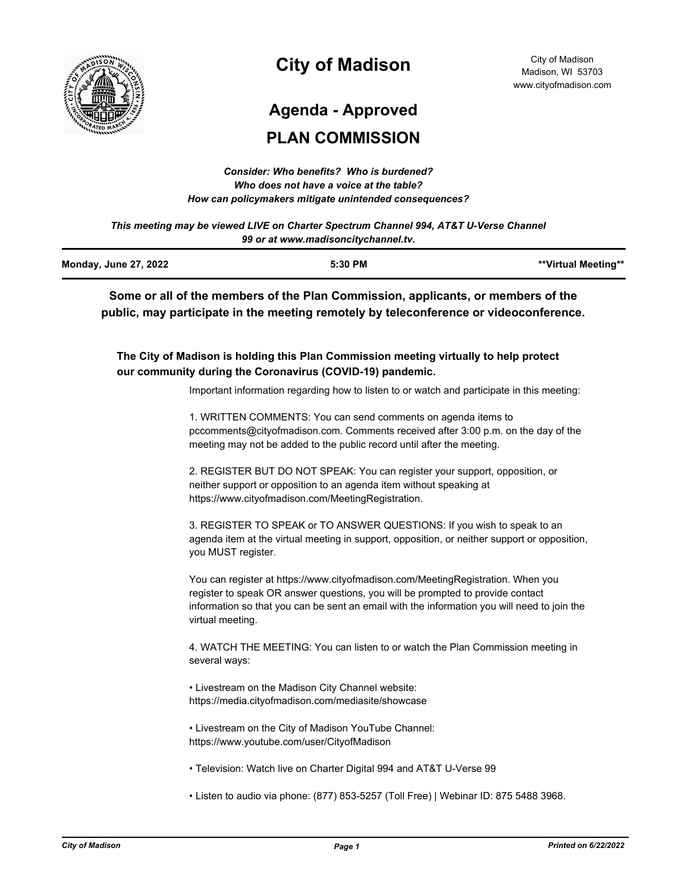

# **City of Madison**

# **Agenda - Approved**

# **PLAN COMMISSION**

| Consider: Who benefits? Who is burdened?               |
|--------------------------------------------------------|
| Who does not have a voice at the table?                |
| How can policymakers mitigate unintended consequences? |

*This meeting may be viewed LIVE on Charter Spectrum Channel 994, AT&T U-Verse Channel 99 or at www.madisoncitychannel.tv.*

| <b>Monday, June 27, 2022</b> | 5:30 PM | **Virtual Meeting** |
|------------------------------|---------|---------------------|
|                              |         |                     |

**Some or all of the members of the Plan Commission, applicants, or members of the public, may participate in the meeting remotely by teleconference or videoconference.**

**The City of Madison is holding this Plan Commission meeting virtually to help protect our community during the Coronavirus (COVID-19) pandemic.**

Important information regarding how to listen to or watch and participate in this meeting:

1. WRITTEN COMMENTS: You can send comments on agenda items to pccomments@cityofmadison.com. Comments received after 3:00 p.m. on the day of the meeting may not be added to the public record until after the meeting.

2. REGISTER BUT DO NOT SPEAK: You can register your support, opposition, or neither support or opposition to an agenda item without speaking at https://www.cityofmadison.com/MeetingRegistration.

3. REGISTER TO SPEAK or TO ANSWER QUESTIONS: If you wish to speak to an agenda item at the virtual meeting in support, opposition, or neither support or opposition, you MUST register.

You can register at https://www.cityofmadison.com/MeetingRegistration. When you register to speak OR answer questions, you will be prompted to provide contact information so that you can be sent an email with the information you will need to join the virtual meeting.

4. WATCH THE MEETING: You can listen to or watch the Plan Commission meeting in several ways:

• Livestream on the Madison City Channel website: https://media.cityofmadison.com/mediasite/showcase

• Livestream on the City of Madison YouTube Channel: https://www.youtube.com/user/CityofMadison

- Television: Watch live on Charter Digital 994 and AT&T U-Verse 99
- Listen to audio via phone: (877) 853-5257 (Toll Free) | Webinar ID: 875 5488 3968.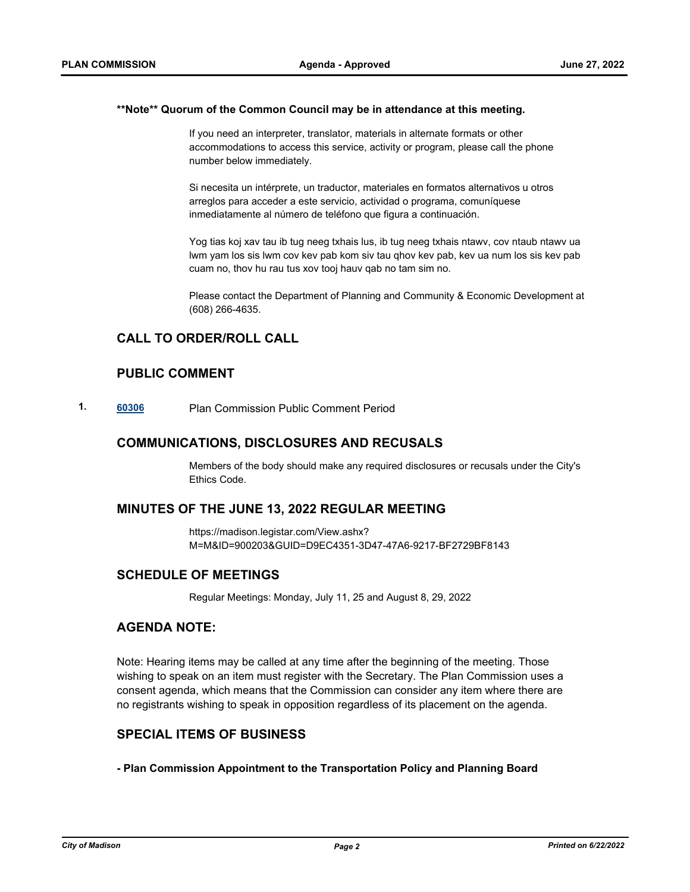#### **\*\*Note\*\* Quorum of the Common Council may be in attendance at this meeting.**

If you need an interpreter, translator, materials in alternate formats or other accommodations to access this service, activity or program, please call the phone number below immediately.

Si necesita un intérprete, un traductor, materiales en formatos alternativos u otros arreglos para acceder a este servicio, actividad o programa, comuníquese inmediatamente al número de teléfono que figura a continuación.

Yog tias koj xav tau ib tug neeg txhais lus, ib tug neeg txhais ntawv, cov ntaub ntawv ua lwm yam los sis lwm cov kev pab kom siv tau qhov kev pab, kev ua num los sis kev pab cuam no, thov hu rau tus xov tooj hauv qab no tam sim no.

Please contact the Department of Planning and Community & Economic Development at (608) 266-4635.

# **CALL TO ORDER/ROLL CALL**

# **PUBLIC COMMENT**

**1. [60306](http://madison.legistar.com/gateway.aspx?m=l&id=/matter.aspx?key=71173)** Plan Commission Public Comment Period

## **COMMUNICATIONS, DISCLOSURES AND RECUSALS**

Members of the body should make any required disclosures or recusals under the City's Ethics Code.

## **MINUTES OF THE JUNE 13, 2022 REGULAR MEETING**

https://madison.legistar.com/View.ashx? M=M&ID=900203&GUID=D9EC4351-3D47-47A6-9217-BF2729BF8143

## **SCHEDULE OF MEETINGS**

Regular Meetings: Monday, July 11, 25 and August 8, 29, 2022

# **AGENDA NOTE:**

Note: Hearing items may be called at any time after the beginning of the meeting. Those wishing to speak on an item must register with the Secretary. The Plan Commission uses a consent agenda, which means that the Commission can consider any item where there are no registrants wishing to speak in opposition regardless of its placement on the agenda.

## **SPECIAL ITEMS OF BUSINESS**

**- Plan Commission Appointment to the Transportation Policy and Planning Board**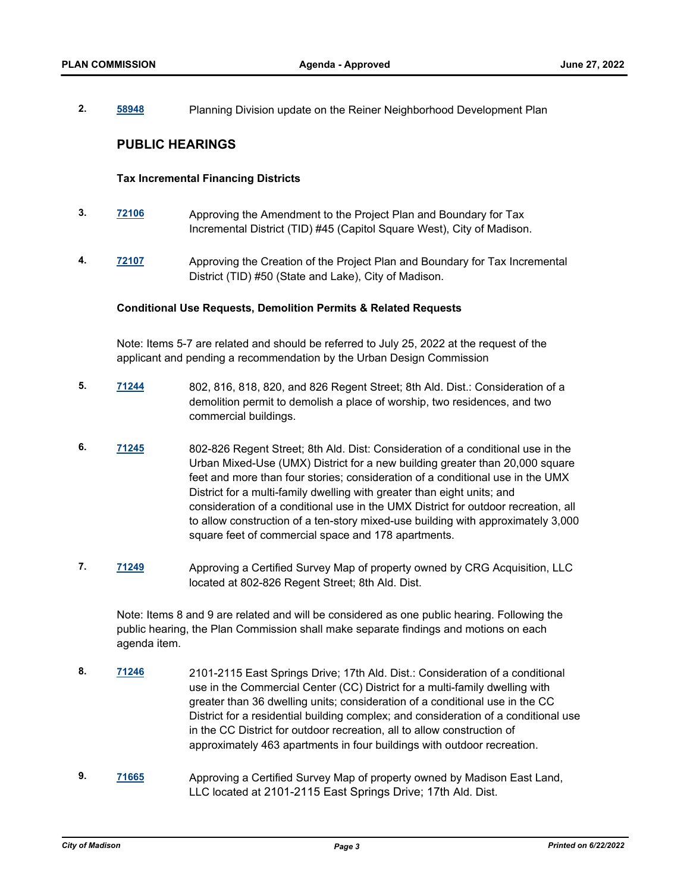**2. [58948](http://madison.legistar.com/gateway.aspx?m=l&id=/matter.aspx?key=70057)** Planning Division update on the Reiner Neighborhood Development Plan

## **PUBLIC HEARINGS**

## **Tax Incremental Financing Districts**

- **3. [72106](http://madison.legistar.com/gateway.aspx?m=l&id=/matter.aspx?key=83863)** Approving the Amendment to the Project Plan and Boundary for Tax Incremental District (TID) #45 (Capitol Square West), City of Madison.
- **4. [72107](http://madison.legistar.com/gateway.aspx?m=l&id=/matter.aspx?key=83864)** Approving the Creation of the Project Plan and Boundary for Tax Incremental District (TID) #50 (State and Lake), City of Madison.

#### **Conditional Use Requests, Demolition Permits & Related Requests**

Note: Items 5-7 are related and should be referred to July 25, 2022 at the request of the applicant and pending a recommendation by the Urban Design Commission

- **5. [71244](http://madison.legistar.com/gateway.aspx?m=l&id=/matter.aspx?key=83185)** 802, 816, 818, 820, and 826 Regent Street; 8th Ald. Dist.: Consideration of a demolition permit to demolish a place of worship, two residences, and two commercial buildings.
- **6. [71245](http://madison.legistar.com/gateway.aspx?m=l&id=/matter.aspx?key=83186)** 802-826 Regent Street; 8th Ald. Dist: Consideration of a conditional use in the Urban Mixed-Use (UMX) District for a new building greater than 20,000 square feet and more than four stories; consideration of a conditional use in the UMX District for a multi-family dwelling with greater than eight units; and consideration of a conditional use in the UMX District for outdoor recreation, all to allow construction of a ten-story mixed-use building with approximately 3,000 square feet of commercial space and 178 apartments.
- **7. [71249](http://madison.legistar.com/gateway.aspx?m=l&id=/matter.aspx?key=83190)** Approving a Certified Survey Map of property owned by CRG Acquisition, LLC located at 802-826 Regent Street; 8th Ald. Dist.

Note: Items 8 and 9 are related and will be considered as one public hearing. Following the public hearing, the Plan Commission shall make separate findings and motions on each agenda item.

- **8. [71246](http://madison.legistar.com/gateway.aspx?m=l&id=/matter.aspx?key=83187)** 2101-2115 East Springs Drive; 17th Ald. Dist.: Consideration of a conditional use in the Commercial Center (CC) District for a multi-family dwelling with greater than 36 dwelling units; consideration of a conditional use in the CC District for a residential building complex; and consideration of a conditional use in the CC District for outdoor recreation, all to allow construction of approximately 463 apartments in four buildings with outdoor recreation.
- **9. [71665](http://madison.legistar.com/gateway.aspx?m=l&id=/matter.aspx?key=83535)** Approving a Certified Survey Map of property owned by Madison East Land, LLC located at 2101-2115 East Springs Drive; 17th Ald. Dist.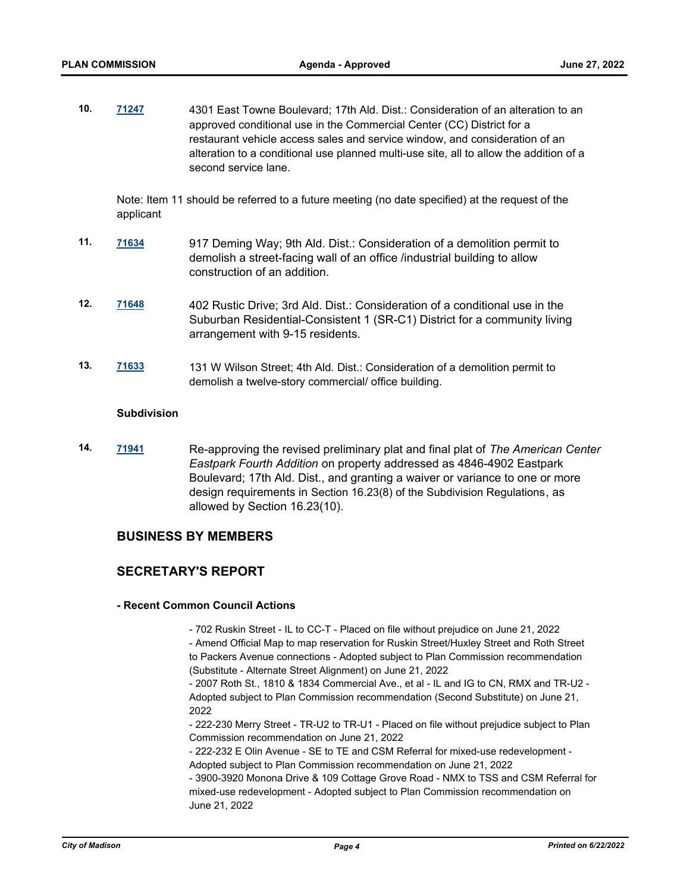**10. [71247](http://madison.legistar.com/gateway.aspx?m=l&id=/matter.aspx?key=83188)** 4301 East Towne Boulevard; 17th Ald. Dist.: Consideration of an alteration to an approved conditional use in the Commercial Center (CC) District for a restaurant vehicle access sales and service window, and consideration of an alteration to a conditional use planned multi-use site, all to allow the addition of a second service lane.

Note: Item 11 should be referred to a future meeting (no date specified) at the request of the applicant

- **11. [71634](http://madison.legistar.com/gateway.aspx?m=l&id=/matter.aspx?key=83504)** 917 Deming Way; 9th Ald. Dist.: Consideration of a demolition permit to demolish a street-facing wall of an office /industrial building to allow construction of an addition.
- **12. [71648](http://madison.legistar.com/gateway.aspx?m=l&id=/matter.aspx?key=83518)** 402 Rustic Drive; 3rd Ald. Dist.: Consideration of a conditional use in the Suburban Residential-Consistent 1 (SR-C1) District for a community living arrangement with 9-15 residents.
- **13. [71633](http://madison.legistar.com/gateway.aspx?m=l&id=/matter.aspx?key=83503)** 131 W Wilson Street; 4th Ald. Dist.: Consideration of a demolition permit to demolish a twelve-story commercial/ office building.

#### **Subdivision**

**14. [71941](http://madison.legistar.com/gateway.aspx?m=l&id=/matter.aspx?key=83729)** Re-approving the revised preliminary plat and final plat of *The American Center Eastpark Fourth Addition* on property addressed as 4846-4902 Eastpark Boulevard; 17th Ald. Dist., and granting a waiver or variance to one or more design requirements in Section 16.23(8) of the Subdivision Regulations, as allowed by Section 16.23(10).

## **BUSINESS BY MEMBERS**

## **SECRETARY'S REPORT**

#### **- Recent Common Council Actions**

- 702 Ruskin Street - IL to CC-T - Placed on file without prejudice on June 21, 2022 - Amend Official Map to map reservation for Ruskin Street/Huxley Street and Roth Street to Packers Avenue connections - Adopted subject to Plan Commission recommendation (Substitute - Alternate Street Alignment) on June 21, 2022

- 2007 Roth St., 1810 & 1834 Commercial Ave., et al - IL and IG to CN, RMX and TR-U2 - Adopted subject to Plan Commission recommendation (Second Substitute) on June 21, 2022

- 222-230 Merry Street - TR-U2 to TR-U1 - Placed on file without prejudice subject to Plan Commission recommendation on June 21, 2022

- 222-232 E Olin Avenue - SE to TE and CSM Referral for mixed-use redevelopment - Adopted subject to Plan Commission recommendation on June 21, 2022

- 3900-3920 Monona Drive & 109 Cottage Grove Road - NMX to TSS and CSM Referral for mixed-use redevelopment - Adopted subject to Plan Commission recommendation on June 21, 2022